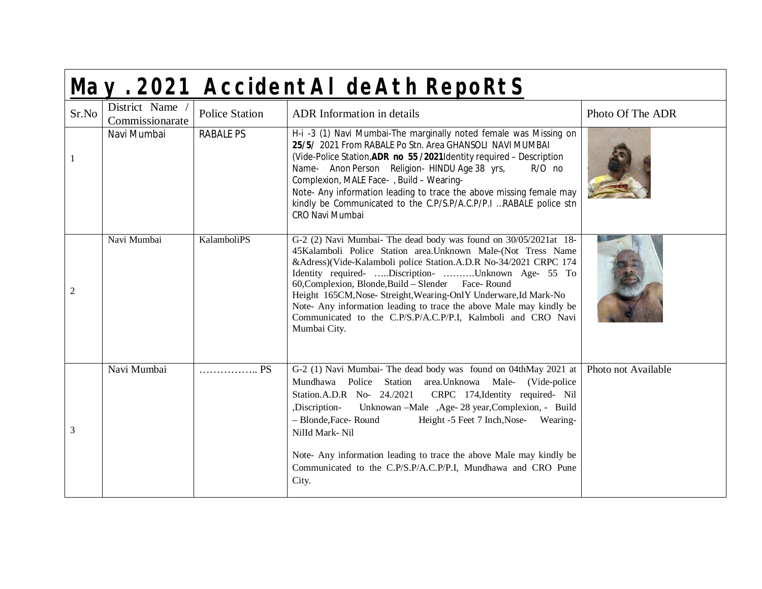|              | May. 2021 AccidentAI deAth RepoRtS |                       |                                                                                                                                                                                                                                                                                                                                                                                                                                                                                                                                               |                     |  |  |
|--------------|------------------------------------|-----------------------|-----------------------------------------------------------------------------------------------------------------------------------------------------------------------------------------------------------------------------------------------------------------------------------------------------------------------------------------------------------------------------------------------------------------------------------------------------------------------------------------------------------------------------------------------|---------------------|--|--|
| Sr.No        | District Name /<br>Commissionarate | <b>Police Station</b> | ADR Information in details                                                                                                                                                                                                                                                                                                                                                                                                                                                                                                                    | Photo Of The ADR    |  |  |
| $\mathbf{1}$ | Navi Mumbai                        | <b>RABALE PS</b>      | H-i -3 (1) Navi Mumbai-The marginally noted female was Missing on<br>25/5/ 2021 From RABALE Po Stn. Area GHANSOLI NAVI MUMBAI<br>(Vide-Police Station, ADR no 55/2021Identity required - Description<br>Name- Anon Person Religion- HINDU Age 38 yrs,<br>$R/O$ no<br>Complexion, MALE Face-, Build - Wearing-<br>Note- Any information leading to trace the above missing female may<br>kindly be Communicated to the C.P/S.P/A.C.P/P.I RABALE police stn<br>CRO Navi Mumbai                                                                  |                     |  |  |
| 2            | Navi Mumbai                        | KalamboliPS           | G-2 (2) Navi Mumbai- The dead body was found on 30/05/2021at 18-<br>45Kalamboli Police Station area. Unknown Male-(Not Tress Name)<br>&Adress)(Vide-Kalamboli police Station.A.D.R No-34/2021 CRPC 174<br>Identity required- Discription- Unknown Age- 55 To<br>60, Complexion, Blonde, Build - Slender Face-Round<br>Height 165CM, Nose- Streight, Wearing-OnlY Underware, Id Mark-No<br>Note- Any information leading to trace the above Male may kindly be<br>Communicated to the C.P/S.P/A.C.P/P.I, Kalmboli and CRO Navi<br>Mumbai City. |                     |  |  |
| 3            | Navi Mumbai                        | PS                    | G-2 (1) Navi Mumbai- The dead body was found on 04thMay 2021 at<br>Mundhawa Police Station area. Unknowa Male- (Vide-police<br>Station.A.D.R No- 24./2021 CRPC 174, Identity required- Nil<br>Unknowan --Male , Age- 28 year, Complexion, - Build<br>,Discription-<br>- Blonde, Face-Round<br>Height -5 Feet 7 Inch, Nose- Wearing-<br>Nilld Mark-Nil<br>Note- Any information leading to trace the above Male may kindly be<br>Communicated to the C.P/S.P/A.C.P/P.I, Mundhawa and CRO Pune<br>City.                                         | Photo not Available |  |  |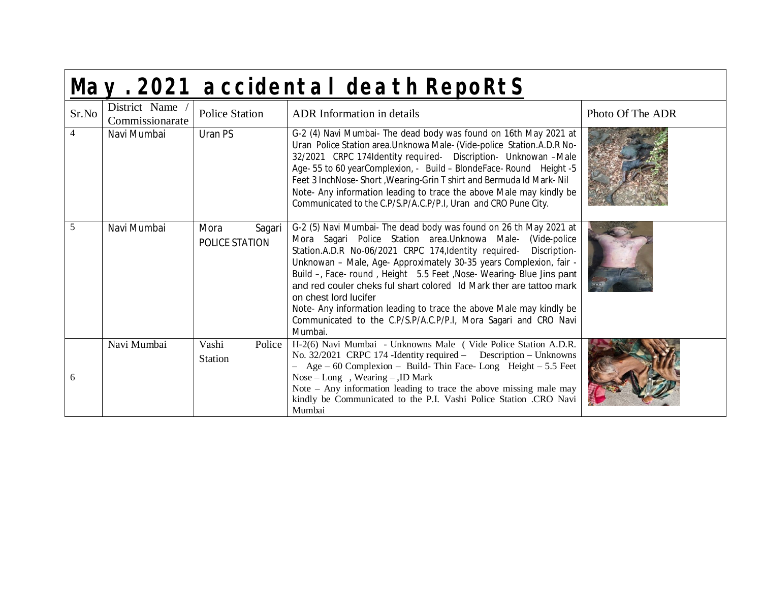|                | May. 2021 accidental death RepoRtS |                                   |                                                                                                                                                                                                                                                                                                                                                                                                                                                                                                                                                                                                              |                  |  |  |  |
|----------------|------------------------------------|-----------------------------------|--------------------------------------------------------------------------------------------------------------------------------------------------------------------------------------------------------------------------------------------------------------------------------------------------------------------------------------------------------------------------------------------------------------------------------------------------------------------------------------------------------------------------------------------------------------------------------------------------------------|------------------|--|--|--|
| Sr.No          | District Name<br>Commissionarate   | <b>Police Station</b>             | ADR Information in details                                                                                                                                                                                                                                                                                                                                                                                                                                                                                                                                                                                   | Photo Of The ADR |  |  |  |
| $\overline{4}$ | Navi Mumbai                        | Uran PS                           | G-2 (4) Navi Mumbai- The dead body was found on 16th May 2021 at<br>Uran Police Station area. Unknowa Male- (Vide-police Station. A.D.R No-<br>32/2021 CRPC 174Identity required- Discription- Unknowan -Male<br>Age- 55 to 60 yearComplexion, - Build - BlondeFace- Round Height -5<br>Feet 3 InchNose- Short, Wearing-Grin T shirt and Bermuda Id Mark- Nil<br>Note- Any information leading to trace the above Male may kindly be<br>Communicated to the C.P/S.P/A.C.P/P.I, Uran and CRO Pune City.                                                                                                       |                  |  |  |  |
| 5              | Navi Mumbai                        | Mora<br>Sagari<br>POLICE STATION  | G-2 (5) Navi Mumbai- The dead body was found on 26 th May 2021 at<br>Mora Sagari Police Station area. Unknowa Male- (Vide-police<br>Station.A.D.R No-06/2021 CRPC 174, Identity required-<br>Discription-<br>Unknowan - Male, Age- Approximately 30-35 years Complexion, fair -<br>Build -, Face- round, Height 5.5 Feet, Nose- Wearing- Blue Jins pant<br>and red couler cheks ful shart colored Id Mark ther are tattoo mark<br>on chest lord lucifer<br>Note- Any information leading to trace the above Male may kindly be<br>Communicated to the C.P/S.P/A.C.P/P.I, Mora Sagari and CRO Navi<br>Mumbai. |                  |  |  |  |
| 6              | Navi Mumbai                        | Vashi<br>Police<br><b>Station</b> | H-2(6) Navi Mumbai - Unknowns Male (Vide Police Station A.D.R.<br>No. 32/2021 CRPC 174 - Identity required – Description – Unknowns<br>$-$ Age $-$ 60 Complexion $-$ Build-Thin Face-Long Height $-$ 5.5 Feet<br>Nose – Long, Wearing – , ID Mark<br>Note - Any information leading to trace the above missing male may<br>kindly be Communicated to the P.I. Vashi Police Station .CRO Navi<br>Mumbai                                                                                                                                                                                                       |                  |  |  |  |

Г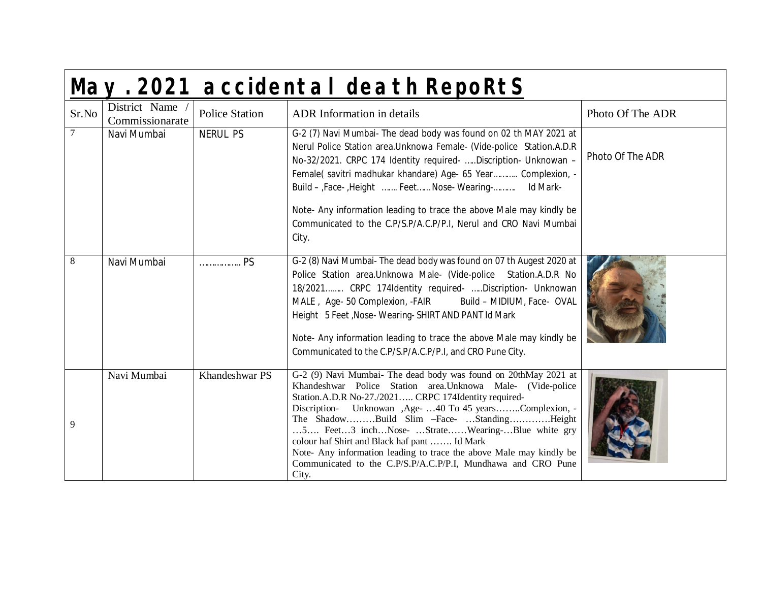|                 | May. 2021 accidental death RepoRtS |                       |                                                                                                                                                                                                                                                                                                                                                                                                                                                                                                                                                    |                  |  |
|-----------------|------------------------------------|-----------------------|----------------------------------------------------------------------------------------------------------------------------------------------------------------------------------------------------------------------------------------------------------------------------------------------------------------------------------------------------------------------------------------------------------------------------------------------------------------------------------------------------------------------------------------------------|------------------|--|
| Sr.No           | District Name<br>Commissionarate   | <b>Police Station</b> | <b>ADR</b> Information in details                                                                                                                                                                                                                                                                                                                                                                                                                                                                                                                  | Photo Of The ADR |  |
| $7\phantom{.0}$ | Navi Mumbai                        | <b>NERUL PS</b>       | G-2 (7) Navi Mumbai- The dead body was found on 02 th MAY 2021 at<br>Nerul Police Station area. Unknowa Female- (Vide-police Station. A.D.R<br>No-32/2021. CRPC 174 Identity required-  Discription- Unknowan -<br>Female( savitri madhukar khandare) Age- 65 Year Complexion, -<br>Build - Face- Height  Feet Nose- Wearing- Id Mark-<br>Note- Any information leading to trace the above Male may kindly be<br>Communicated to the C.P/S.P/A.C.P/P.I, Nerul and CRO Navi Mumbai<br>City.                                                         | Photo Of The ADR |  |
| 8               | Navi Mumbai                        | PS                    | G-2 (8) Navi Mumbai- The dead body was found on 07 th Augest 2020 at<br>Police Station area. Unknowa Male- (Vide-police Station. A.D.R No<br>18/2021 CRPC 174Identity required- Discription- Unknowan<br>MALE, Age- 50 Complexion, -FAIR<br>Build - MIDIUM, Face- OVAL<br>Height 5 Feet, Nose-Wearing-SHIRT AND PANT Id Mark<br>Note- Any information leading to trace the above Male may kindly be<br>Communicated to the C.P/S.P/A.C.P/P.I, and CRO Pune City.                                                                                   |                  |  |
| 9               | Navi Mumbai                        | Khandeshwar PS        | G-2 (9) Navi Mumbai- The dead body was found on 20thMay 2021 at<br>Khandeshwar Police Station area. Unknowa Male- (Vide-police<br>Station.A.D.R No-27./2021 CRPC 174Identity required-<br>Discription- Unknowan , Age- 40 To 45 yearsComplexion, -<br>The ShadowBuild Slim -Face- StandingHeight<br>5 Feet3 inchNose- StrateWearing-Blue white gry<br>colour haf Shirt and Black haf pant  Id Mark<br>Note- Any information leading to trace the above Male may kindly be<br>Communicated to the C.P/S.P/A.C.P/P.I, Mundhawa and CRO Pune<br>City. |                  |  |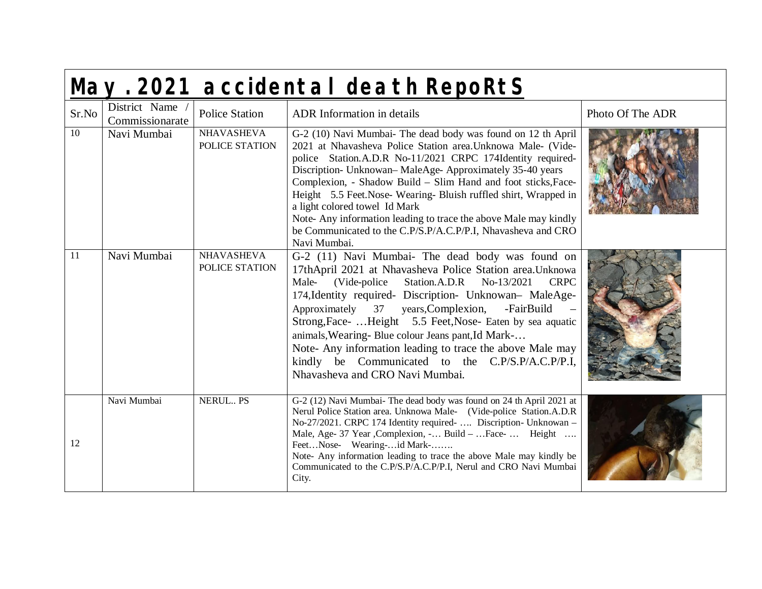| May. 2021 accidental death RepoRtS |                                  |                                     |                                                                                                                                                                                                                                                                                                                                                                                                                                                                                                                                                                             |                  |  |
|------------------------------------|----------------------------------|-------------------------------------|-----------------------------------------------------------------------------------------------------------------------------------------------------------------------------------------------------------------------------------------------------------------------------------------------------------------------------------------------------------------------------------------------------------------------------------------------------------------------------------------------------------------------------------------------------------------------------|------------------|--|
| Sr.No                              | District Name<br>Commissionarate | <b>Police Station</b>               | <b>ADR</b> Information in details                                                                                                                                                                                                                                                                                                                                                                                                                                                                                                                                           | Photo Of The ADR |  |
| $\overline{10}$                    | Navi Mumbai                      | <b>NHAVASHEVA</b><br>POLICE STATION | G-2 (10) Navi Mumbai- The dead body was found on 12 th April<br>2021 at Nhavasheva Police Station area. Unknowa Male- (Vide-<br>police Station.A.D.R No-11/2021 CRPC 174Identity required-<br>Discription- Unknowan-MaleAge-Approximately 35-40 years<br>Complexion, - Shadow Build - Slim Hand and foot sticks, Face-<br>Height 5.5 Feet.Nose-Wearing-Bluish ruffled shirt, Wrapped in<br>a light colored towel Id Mark<br>Note-Any information leading to trace the above Male may kindly<br>be Communicated to the C.P/S.P/A.C.P/P.I, Nhavasheva and CRO<br>Navi Mumbai. |                  |  |
| $\overline{11}$                    | Navi Mumbai                      | <b>NHAVASHEVA</b><br>POLICE STATION | G-2 (11) Navi Mumbai- The dead body was found on<br>17thApril 2021 at Nhavasheva Police Station area. Unknowa<br>(Vide-police)<br>Male-<br>Station.A.D.R No-13/2021<br><b>CRPC</b><br>174, Identity required- Discription- Unknowan- MaleAge-<br>Approximately 37 years, Complexion,<br>-FairBuild<br>Strong, Face-  Height 5.5 Feet, Nose- Eaten by sea aquatic<br>animals, Wearing-Blue colour Jeans pant, Id Mark-<br>Note- Any information leading to trace the above Male may<br>kindly be Communicated to the C.P/S.P/A.C.P/P.I,<br>Nhavasheva and CRO Navi Mumbai.   |                  |  |
| 12                                 | Navi Mumbai                      | NERUL PS                            | G-2 (12) Navi Mumbai- The dead body was found on 24 th April 2021 at<br>Nerul Police Station area. Unknowa Male- (Vide-police Station.A.D.R)<br>No-27/2021. CRPC 174 Identity required-  Discription- Unknowan -<br>Male, Age- 37 Year , Complexion, - Build -  Face-  Height<br>FeetNose- Wearing-id Mark-<br>Note- Any information leading to trace the above Male may kindly be<br>Communicated to the C.P/S.P/A.C.P/P.I, Nerul and CRO Navi Mumbai<br>City.                                                                                                             |                  |  |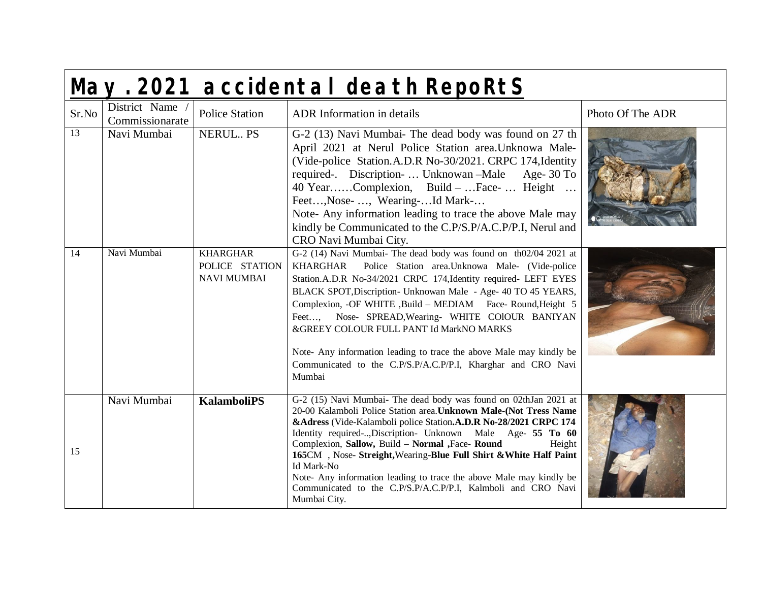|                 | May. 2021 accidental death RepoRtS |                                                         |                                                                                                                                                                                                                                                                                                                                                                                                                                                                                                                                                                                      |                  |  |  |
|-----------------|------------------------------------|---------------------------------------------------------|--------------------------------------------------------------------------------------------------------------------------------------------------------------------------------------------------------------------------------------------------------------------------------------------------------------------------------------------------------------------------------------------------------------------------------------------------------------------------------------------------------------------------------------------------------------------------------------|------------------|--|--|
| Sr.No           | District Name<br>Commissionarate   | <b>Police Station</b>                                   | <b>ADR</b> Information in details                                                                                                                                                                                                                                                                                                                                                                                                                                                                                                                                                    | Photo Of The ADR |  |  |
| $\overline{13}$ | Navi Mumbai                        | NERUL PS                                                | G-2 (13) Navi Mumbai- The dead body was found on 27 th<br>April 2021 at Nerul Police Station area. Unknowa Male-<br>(Vide-police Station.A.D.R No-30/2021. CRPC 174, Identity<br>required-. Discription-  Unknowan - Male Age- 30 To<br>40 YearComplexion, Build -  Face-  Height<br>Feet, Nose- , Wearing-Id Mark-<br>Note- Any information leading to trace the above Male may<br>kindly be Communicated to the C.P/S.P/A.C.P/P.I, Nerul and<br>CRO Navi Mumbai City.                                                                                                              |                  |  |  |
| 14              | Navi Mumbai                        | <b>KHARGHAR</b><br>POLICE STATION<br><b>NAVI MUMBAI</b> | G-2 (14) Navi Mumbai- The dead body was found on th02/04 2021 at<br>Police Station area. Unknowa Male- (Vide-police<br>KHARGHAR<br>Station.A.D.R No-34/2021 CRPC 174, Identity required- LEFT EYES<br>BLACK SPOT, Discription- Unknowan Male - Age- 40 TO 45 YEARS,<br>Complexion, -OF WHITE , Build - MEDIAM Face- Round, Height 5<br>Feet, Nose- SPREAD, Wearing- WHITE COIOUR BANIYAN<br>&GREEY COLOUR FULL PANT Id MarkNO MARKS<br>Note- Any information leading to trace the above Male may kindly be<br>Communicated to the C.P/S.P/A.C.P/P.I, Kharghar and CRO Navi<br>Mumbai |                  |  |  |
| 15              | Navi Mumbai                        | <b>KalamboliPS</b>                                      | G-2 (15) Navi Mumbai- The dead body was found on 02thJan 2021 at<br>20-00 Kalamboli Police Station area. Unknown Male-(Not Tress Name<br>&Adress (Vide-Kalamboli police Station.A.D.R No-28/2021 CRPC 174<br>Identity required-, Discription- Unknown Male Age- 55 To 60<br>Complexion, Sallow, Build - Normal , Face- Round<br>Height<br>165CM, Nose- Streight, Wearing-Blue Full Shirt & White Half Paint<br>Id Mark-No<br>Note- Any information leading to trace the above Male may kindly be<br>Communicated to the C.P/S.P/A.C.P/P.I, Kalmboli and CRO Navi<br>Mumbai City.     |                  |  |  |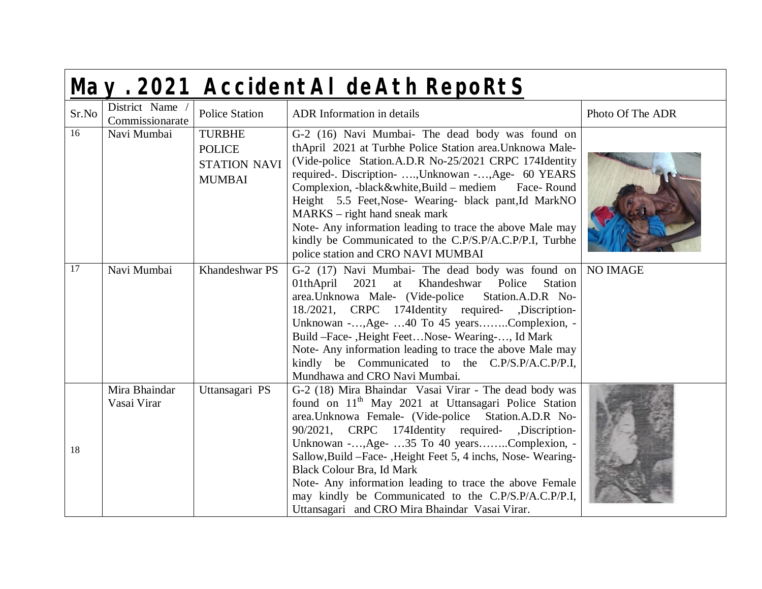| May. 2021 AccidentAI deAth RepoRtS |                                  |                                                                        |                                                                                                                                                                                                                                                                                                                                                                                                                                                                                                                                                                     |                  |  |
|------------------------------------|----------------------------------|------------------------------------------------------------------------|---------------------------------------------------------------------------------------------------------------------------------------------------------------------------------------------------------------------------------------------------------------------------------------------------------------------------------------------------------------------------------------------------------------------------------------------------------------------------------------------------------------------------------------------------------------------|------------------|--|
| Sr.No                              | District Name<br>Commissionarate | <b>Police Station</b>                                                  | <b>ADR</b> Information in details                                                                                                                                                                                                                                                                                                                                                                                                                                                                                                                                   | Photo Of The ADR |  |
| 16                                 | Navi Mumbai                      | <b>TURBHE</b><br><b>POLICE</b><br><b>STATION NAVI</b><br><b>MUMBAI</b> | G-2 (16) Navi Mumbai- The dead body was found on<br>thApril 2021 at Turbhe Police Station area. Unknowa Male-<br>(Vide-police Station.A.D.R No-25/2021 CRPC 174Identity<br>required-. Discription- , Unknowan -, Age- 60 YEARS<br>Complexion, -black&white,Build - mediem Face-Round<br>Height 5.5 Feet, Nose- Wearing- black pant, Id MarkNO<br>$MARKS$ – right hand sneak mark<br>Note- Any information leading to trace the above Male may<br>kindly be Communicated to the C.P/S.P/A.C.P/P.I, Turbhe<br>police station and CRO NAVI MUMBAI                      |                  |  |
| 17                                 | Navi Mumbai                      | Khandeshwar PS                                                         | G-2 (17) Navi Mumbai- The dead body was found on<br>2021<br>at Khandeshwar Police<br>01thApril<br><b>Station</b><br>area.Unknowa Male- (Vide-police<br>Station.A.D.R No-<br>18./2021, CRPC 174Identity required- ,Discription-<br>Unknowan -, Age-  40 To 45 yearsComplexion, -<br>Build -Face-, Height Feet Nose-Wearing-, Id Mark<br>Note- Any information leading to trace the above Male may<br>kindly be Communicated to the C.P/S.P/A.C.P/P.I,<br>Mundhawa and CRO Navi Mumbai.                                                                               | <b>NO IMAGE</b>  |  |
| 18                                 | Mira Bhaindar<br>Vasai Virar     | Uttansagari PS                                                         | G-2 (18) Mira Bhaindar Vasai Virar - The dead body was<br>found on 11 <sup>th</sup> May 2021 at Uttansagari Police Station<br>area.Unknowa Female- (Vide-police Station.A.D.R No-<br>90/2021, CRPC 174Identity required-<br>,Discription-<br>Unknowan -, Age-  35 To 40 yearsComplexion, -<br>Sallow, Build - Face-, Height Feet 5, 4 inchs, Nose-Wearing-<br><b>Black Colour Bra, Id Mark</b><br>Note- Any information leading to trace the above Female<br>may kindly be Communicated to the C.P/S.P/A.C.P/P.I,<br>Uttansagari and CRO Mira Bhaindar Vasai Virar. |                  |  |

Г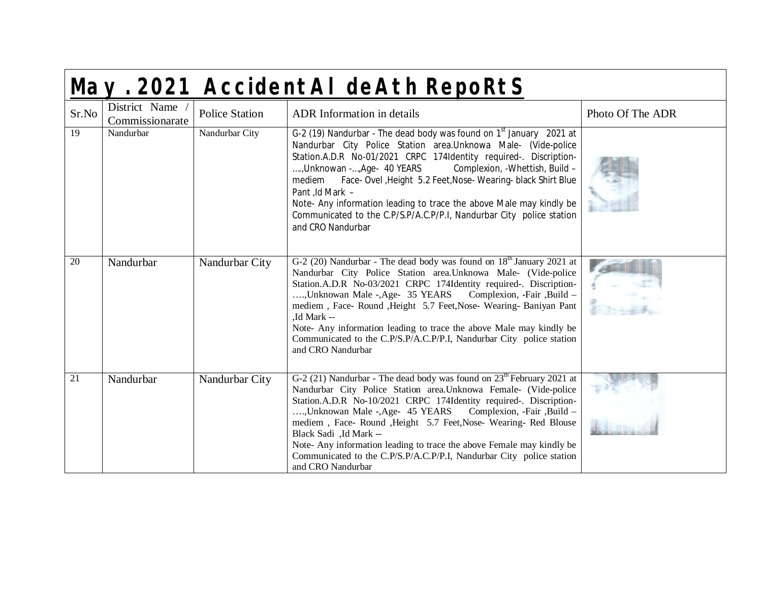|       | May. 2021 AccidentAI deAth RepoRtS |                       |                                                                                                                                                                                                                                                                                                                                                                                                                                                                                                                                                 |                  |  |  |
|-------|------------------------------------|-----------------------|-------------------------------------------------------------------------------------------------------------------------------------------------------------------------------------------------------------------------------------------------------------------------------------------------------------------------------------------------------------------------------------------------------------------------------------------------------------------------------------------------------------------------------------------------|------------------|--|--|
| Sr.No | District Name<br>Commissionarate   | <b>Police Station</b> | <b>ADR</b> Information in details                                                                                                                                                                                                                                                                                                                                                                                                                                                                                                               | Photo Of The ADR |  |  |
| 19    | Nandurbar                          | Nandurbar City        | G-2 (19) Nandurbar - The dead body was found on $1st$ January 2021 at<br>Nandurbar City Police Station area. Unknowa Male- (Vide-police<br>Station.A.D.R No-01/2021 CRPC 174Identity required-. Discription-<br>, Unknowan -, Age- 40 YEARS<br>Complexion, -Whettish, Build -<br>Face- Ovel , Height 5.2 Feet, Nose- Wearing- black Shirt Blue<br>mediem<br>Pant ,Id Mark -<br>Note- Any information leading to trace the above Male may kindly be<br>Communicated to the C.P/S.P/A.C.P/P.I, Nandurbar City police station<br>and CRO Nandurbar |                  |  |  |
| 20    | Nandurbar                          | Nandurbar City        | G-2 (20) Nandurbar - The dead body was found on 18 <sup>th</sup> January 2021 at<br>Nandurbar City Police Station area. Unknowa Male- (Vide-police<br>Station.A.D.R No-03/2021 CRPC 174Identity required-. Discription-<br>, Unknowan Male -, Age- 35 YEARS Complexion, -Fair, Build -<br>mediem, Face-Round, Height 5.7 Feet, Nose-Wearing-Baniyan Pant<br>,Id Mark --<br>Note- Any information leading to trace the above Male may kindly be<br>Communicated to the C.P/S.P/A.C.P/P.I, Nandurbar City police station<br>and CRO Nandurbar     |                  |  |  |
| 21    | Nandurbar                          | Nandurbar City        | G-2 (21) Nandurbar - The dead body was found on $23th$ February 2021 at<br>Nandurbar City Police Station area. Unknowa Female- (Vide-police<br>Station.A.D.R No-10/2021 CRPC 174Identity required-. Discription-<br>, Unknowan Male -, Age- 45 YEARS Complexion, -Fair, Build -<br>mediem, Face-Round, Height 5.7 Feet, Nose-Wearing-Red Blouse<br>Black Sadi, Id Mark --<br>Note- Any information leading to trace the above Female may kindly be<br>Communicated to the C.P/S.P/A.C.P/P.I, Nandurbar City police station<br>and CRO Nandurbar |                  |  |  |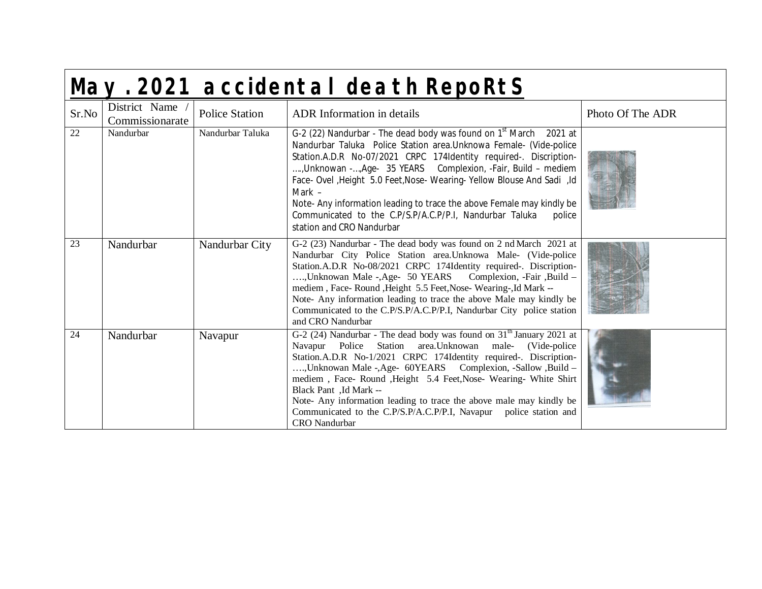|                 | May. 2021 accidental death RepoRtS |                       |                                                                                                                                                                                                                                                                                                                                                                                                                                                                                                                                                     |                  |  |  |
|-----------------|------------------------------------|-----------------------|-----------------------------------------------------------------------------------------------------------------------------------------------------------------------------------------------------------------------------------------------------------------------------------------------------------------------------------------------------------------------------------------------------------------------------------------------------------------------------------------------------------------------------------------------------|------------------|--|--|
| Sr.No           | District Name<br>Commissionarate   | <b>Police Station</b> | <b>ADR</b> Information in details                                                                                                                                                                                                                                                                                                                                                                                                                                                                                                                   | Photo Of The ADR |  |  |
| 22              | Nandurbar                          | Nandurbar Taluka      | G-2 (22) Nandurbar - The dead body was found on $1st$ March 2021 at<br>Nandurbar Taluka Police Station area. Unknowa Female- (Vide-police<br>Station.A.D.R No-07/2021 CRPC 174Identity required-. Discription-<br>, Unknowan -, Age- 35 YEARS Complexion, -Fair, Build - mediem<br>Face- Ovel , Height 5.0 Feet, Nose- Wearing- Yellow Blouse And Sadi , Id<br>Mark -<br>Note- Any information leading to trace the above Female may kindly be<br>Communicated to the C.P/S.P/A.C.P/P.I, Nandurbar Taluka<br>police<br>station and CRO Nandurbar    |                  |  |  |
| 23              | Nandurbar                          | Nandurbar City        | G-2 (23) Nandurbar - The dead body was found on 2 nd March 2021 at<br>Nandurbar City Police Station area.Unknowa Male- (Vide-police<br>Station.A.D.R No-08/2021 CRPC 174Identity required-. Discription-<br>, Unknowan Male -, Age- 50 YEARS Complexion, -Fair, Build -<br>mediem, Face-Round, Height 5.5 Feet, Nose-Wearing-, Id Mark --<br>Note- Any information leading to trace the above Male may kindly be<br>Communicated to the C.P/S.P/A.C.P/P.I, Nandurbar City police station<br>and CRO Nandurbar                                       |                  |  |  |
| $\overline{24}$ | Nandurbar                          | Navapur               | G-2 (24) Nandurbar - The dead body was found on 31 <sup>th</sup> January 2021 at<br>Navapur Police Station area. Unknowan<br>male- (Vide-police<br>Station.A.D.R No-1/2021 CRPC 174Identity required-. Discription-<br>, Unknowan Male -, Age- 60YEARS Complexion, -Sallow , Build -<br>mediem, Face-Round, Height 5.4 Feet, Nose-Wearing-White Shirt<br>Black Pant, Id Mark --<br>Note- Any information leading to trace the above male may kindly be<br>Communicated to the C.P/S.P/A.C.P/P.I, Navapur police station and<br><b>CRO</b> Nandurbar |                  |  |  |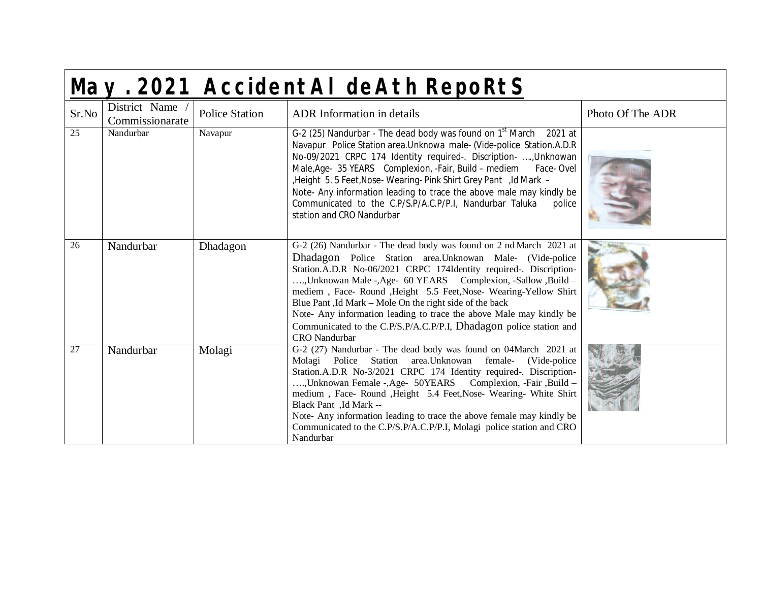|                 | May. 2021 AccidentAI deAth RepoRtS |                       |                                                                                                                                                                                                                                                                                                                                                                                                                                                                                                                                                                          |                  |  |  |
|-----------------|------------------------------------|-----------------------|--------------------------------------------------------------------------------------------------------------------------------------------------------------------------------------------------------------------------------------------------------------------------------------------------------------------------------------------------------------------------------------------------------------------------------------------------------------------------------------------------------------------------------------------------------------------------|------------------|--|--|
| Sr.No           | District Name<br>Commissionarate   | <b>Police Station</b> | <b>ADR</b> Information in details                                                                                                                                                                                                                                                                                                                                                                                                                                                                                                                                        | Photo Of The ADR |  |  |
| 25              | Nandurbar                          | Navapur               | G-2 (25) Nandurbar - The dead body was found on 1 <sup>st</sup> March 2021 at<br>Navapur Police Station area. Unknowa male- (Vide-police Station. A.D.R<br>No-09/2021 CRPC 174 Identity required-. Discription- , Unknowan<br>Male, Age- 35 YEARS Complexion, -Fair, Build – mediem Face- Ovel<br>, Height 5.5 Feet, Nose-Wearing-Pink Shirt Grey Pant, Id Mark -<br>Note- Any information leading to trace the above male may kindly be<br>Communicated to the C.P/S.P/A.C.P/P.I, Nandurbar Taluka<br>police<br>station and CRO Nandurbar                               |                  |  |  |
| 26              | Nandurbar                          | Dhadagon              | G-2 (26) Nandurbar - The dead body was found on 2 nd March 2021 at<br>Dhadagon Police Station area. Unknowan Male- (Vide-police<br>Station.A.D.R No-06/2021 CRPC 174Identity required-. Discription-<br>, Unknowan Male -, Age- 60 YEARS Complexion, -Sallow , Build -<br>mediem, Face-Round, Height 5.5 Feet, Nose-Wearing-Yellow Shirt<br>Blue Pant ,Id Mark – Mole On the right side of the back<br>Note- Any information leading to trace the above Male may kindly be<br>Communicated to the C.P/S.P/A.C.P/P.I, Dhadagon police station and<br><b>CRO</b> Nandurbar |                  |  |  |
| $\overline{27}$ | Nandurbar                          | Molagi                | G-2 (27) Nandurbar - The dead body was found on 04March 2021 at<br>Station<br>area. Unknowan<br>female-<br>Molagi Police<br>(Vide-police)<br>Station.A.D.R No-3/2021 CRPC 174 Identity required-. Discription-<br>, Unknowan Female -, Age- 50YEARS Complexion, -Fair, Build -<br>medium, Face-Round, Height 5.4 Feet, Nose-Wearing-White Shirt<br>Black Pant, Id Mark --<br>Note- Any information leading to trace the above female may kindly be<br>Communicated to the C.P/S.P/A.C.P/P.I, Molagi police station and CRO<br>Nandurbar                                  |                  |  |  |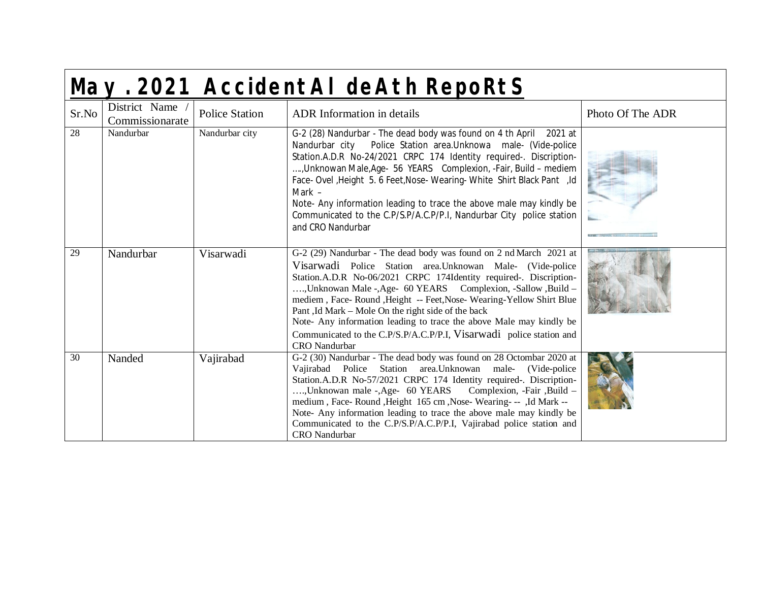|                 | May. 2021 AccidentAI deAth RepoRtS |                       |                                                                                                                                                                                                                                                                                                                                                                                                                                                                                                                                                                           |                  |  |  |
|-----------------|------------------------------------|-----------------------|---------------------------------------------------------------------------------------------------------------------------------------------------------------------------------------------------------------------------------------------------------------------------------------------------------------------------------------------------------------------------------------------------------------------------------------------------------------------------------------------------------------------------------------------------------------------------|------------------|--|--|
| Sr.No           | District Name<br>Commissionarate   | <b>Police Station</b> | <b>ADR</b> Information in details                                                                                                                                                                                                                                                                                                                                                                                                                                                                                                                                         | Photo Of The ADR |  |  |
| 28              | Nandurbar                          | Nandurbar city        | G-2 (28) Nandurbar - The dead body was found on 4 th April 2021 at<br>Station.A.D.R No-24/2021 CRPC 174 Identity required-. Discription-<br>, Unknowan Male, Age- 56 YEARS Complexion, -Fair, Build - mediem<br>Face- Ovel , Height 5. 6 Feet, Nose- Wearing- White Shirt Black Pant, Id<br>Mark $-$<br>Note- Any information leading to trace the above male may kindly be<br>Communicated to the C.P/S.P/A.C.P/P.I, Nandurbar City police station<br>and CRO Nandurbar                                                                                                  |                  |  |  |
| $\overline{29}$ | Nandurbar                          | Visarwadi             | G-2 (29) Nandurbar - The dead body was found on 2 nd March 2021 at<br>Visarwadi Police Station area. Unknowan Male- (Vide-police<br>Station.A.D.R No-06/2021 CRPC 174Identity required-. Discription-<br>, Unknowan Male -, Age- 60 YEARS Complexion, -Sallow , Build -<br>mediem, Face-Round, Height -- Feet, Nose-Wearing-Yellow Shirt Blue<br>Pant, Id Mark – Mole On the right side of the back<br>Note- Any information leading to trace the above Male may kindly be<br>Communicated to the C.P/S.P/A.C.P/P.I, Visarwadi police station and<br><b>CRO</b> Nandurbar |                  |  |  |
| 30              | Nanded                             | Vajirabad             | G-2 (30) Nandurbar - The dead body was found on 28 Octombar 2020 at<br>Vajirabad Police Station area. Unknowan<br>male-<br>(Vide-police)<br>Station.A.D.R No-57/2021 CRPC 174 Identity required-. Discription-<br>, Unknowan male -, Age- 60 YEARS Complexion, -Fair, Build -<br>medium, Face-Round, Height 165 cm, Nose-Wearing---, Id Mark --<br>Note- Any information leading to trace the above male may kindly be<br>Communicated to the C.P/S.P/A.C.P/P.I, Vajirabad police station and<br><b>CRO</b> Nandurbar                                                     |                  |  |  |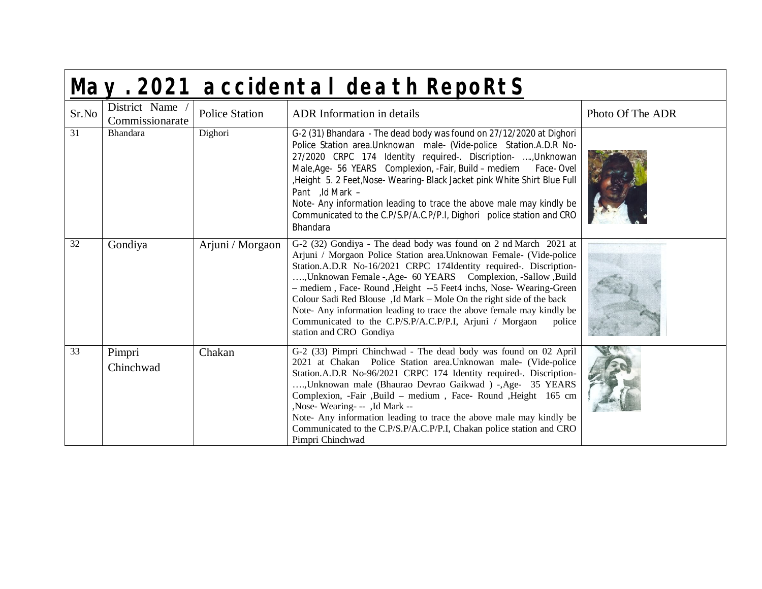|       | May. 2021 accidental death RepoRtS |                       |                                                                                                                                                                                                                                                                                                                                                                                                                                                                                                                                                                                                     |                  |  |  |  |
|-------|------------------------------------|-----------------------|-----------------------------------------------------------------------------------------------------------------------------------------------------------------------------------------------------------------------------------------------------------------------------------------------------------------------------------------------------------------------------------------------------------------------------------------------------------------------------------------------------------------------------------------------------------------------------------------------------|------------------|--|--|--|
| Sr.No | District Name<br>Commissionarate   | <b>Police Station</b> | <b>ADR</b> Information in details                                                                                                                                                                                                                                                                                                                                                                                                                                                                                                                                                                   | Photo Of The ADR |  |  |  |
| 31    | Bhandara                           | Dighori               | G-2 (31) Bhandara - The dead body was found on 27/12/2020 at Dighori<br>Police Station area. Unknowan male- (Vide-police Station. A.D.R No-<br>27/2020 CRPC 174 Identity required-. Discription- , Unknowan<br>Male, Age- 56 YEARS Complexion, -Fair, Build - mediem Face- Ovel<br>,Height 5. 2 Feet, Nose- Wearing- Black Jacket pink White Shirt Blue Full<br>Pant ,Id Mark -<br>Note- Any information leading to trace the above male may kindly be<br>Communicated to the C.P/S.P/A.C.P/P.I, Dighori police station and CRO<br>Bhandara                                                         |                  |  |  |  |
| 32    | Gondiya                            | Arjuni / Morgaon      | G-2 (32) Gondiya - The dead body was found on 2 nd March 2021 at<br>Arjuni / Morgaon Police Station area. Unknowan Female- (Vide-police<br>Station.A.D.R No-16/2021 CRPC 174Identity required-. Discription-<br>, Unknowan Female -, Age- 60 YEARS Complexion, -Sallow , Build<br>- mediem, Face-Round, Height --5 Feet4 inchs, Nose-Wearing-Green<br>Colour Sadi Red Blouse, Id Mark – Mole On the right side of the back<br>Note- Any information leading to trace the above female may kindly be<br>Communicated to the C.P/S.P/A.C.P/P.I, Arjuni / Morgaon<br>police<br>station and CRO Gondiya |                  |  |  |  |
| 33    | Pimpri<br>Chinchwad                | Chakan                | G-2 (33) Pimpri Chinchwad - The dead body was found on 02 April<br>2021 at Chakan Police Station area. Unknowan male- (Vide-police<br>Station.A.D.R No-96/2021 CRPC 174 Identity required-. Discription-<br>, Unknowan male (Bhaurao Devrao Gaikwad) -, Age- 35 YEARS<br>Complexion, -Fair ,Build - medium , Face- Round ,Height 165 cm<br>,Nose-Wearing- -- ,Id Mark --<br>Note- Any information leading to trace the above male may kindly be<br>Communicated to the C.P/S.P/A.C.P/P.I, Chakan police station and CRO<br>Pimpri Chinchwad                                                         |                  |  |  |  |

Г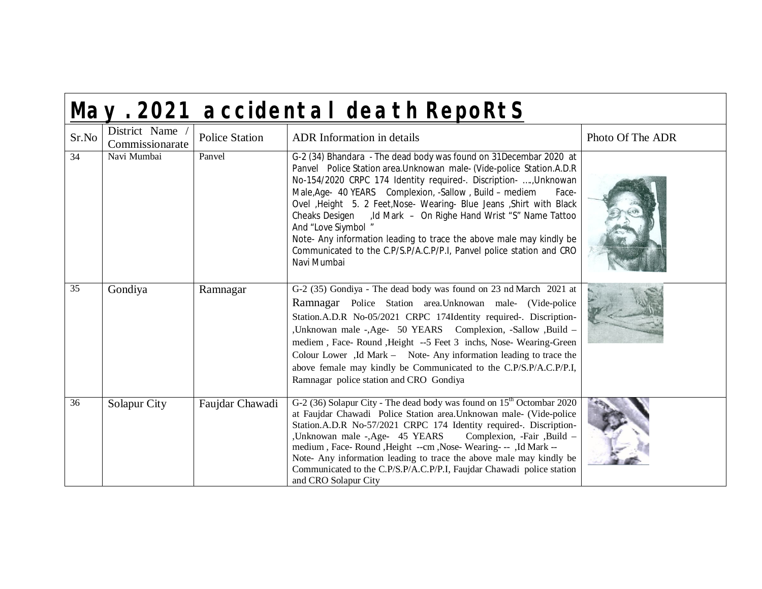|                 | May. 2021 accidental death RepoRtS |                       |                                                                                                                                                                                                                                                                                                                                                                                                                                                                                                                                                                                                                     |                  |  |  |
|-----------------|------------------------------------|-----------------------|---------------------------------------------------------------------------------------------------------------------------------------------------------------------------------------------------------------------------------------------------------------------------------------------------------------------------------------------------------------------------------------------------------------------------------------------------------------------------------------------------------------------------------------------------------------------------------------------------------------------|------------------|--|--|
| Sr.No           | District Name<br>Commissionarate   | <b>Police Station</b> | <b>ADR</b> Information in details                                                                                                                                                                                                                                                                                                                                                                                                                                                                                                                                                                                   | Photo Of The ADR |  |  |
| 34              | Navi Mumbai                        | Panvel                | G-2 (34) Bhandara - The dead body was found on 31Decembar 2020 at<br>Panvel Police Station area. Unknowan male- (Vide-police Station. A.D.R<br>No-154/2020 CRPC 174 Identity required-. Discription- , Unknowan<br>Male, Age- 40 YEARS Complexion, -Sallow, Build - mediem<br>Face-<br>Ovel , Height 5. 2 Feet, Nose- Wearing- Blue Jeans , Shirt with Black<br>Cheaks Desigen , Id Mark - On Righe Hand Wrist "S" Name Tattoo<br>And "Love Siymbol "<br>Note- Any information leading to trace the above male may kindly be<br>Communicated to the C.P/S.P/A.C.P/P.I, Panvel police station and CRO<br>Navi Mumbai |                  |  |  |
| $\overline{35}$ | Gondiya                            | Ramnagar              | G-2 (35) Gondiya - The dead body was found on 23 nd March 2021 at<br>Ramnagar Police Station area. Unknowan male- (Vide-police<br>Station.A.D.R No-05/2021 CRPC 174Identity required-. Discription-<br>, Unknowan male -, Age- 50 YEARS Complexion, -Sallow , Build -<br>mediem, Face-Round, Height -- 5 Feet 3 inchs, Nose-Wearing-Green<br>Colour Lower, Id Mark - Note-Any information leading to trace the<br>above female may kindly be Communicated to the C.P/S.P/A.C.P/P.I,<br>Ramnagar police station and CRO Gondiya                                                                                      |                  |  |  |
| 36              | Solapur City                       | Faujdar Chawadi       | G-2 (36) Solapur City - The dead body was found on $15^{\text{th}}$ Octombar 2020<br>at Faujdar Chawadi Police Station area. Unknowan male- (Vide-police<br>Station.A.D.R No-57/2021 CRPC 174 Identity required-. Discription-<br>,Unknowan male -,Age- 45 YEARS<br>Complexion, -Fair, Build -<br>medium, Face-Round, Height --cm, Nose-Wearing---, Id Mark --<br>Note- Any information leading to trace the above male may kindly be<br>Communicated to the C.P/S.P/A.C.P/P.I, Faujdar Chawadi police station<br>and CRO Solapur City                                                                              |                  |  |  |

 $\blacksquare$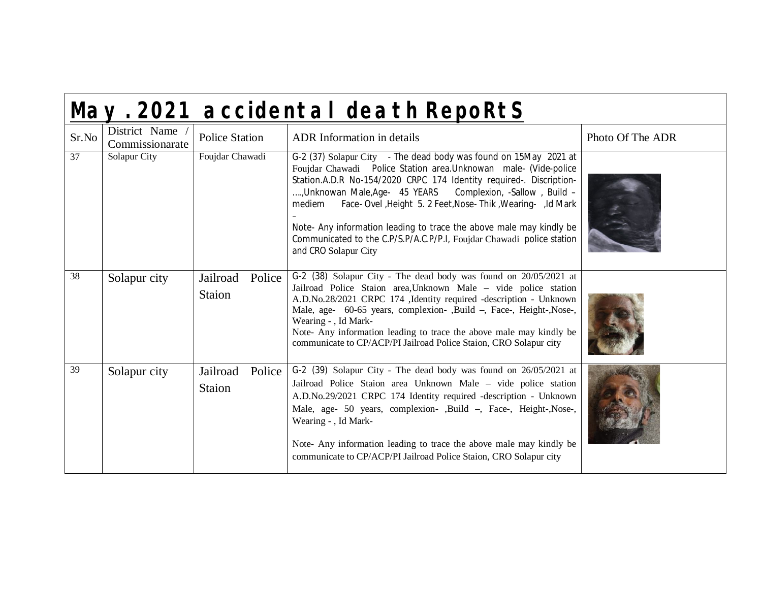|       |                                  |                              | May. 2021 accidental death RepoRtS                                                                                                                                                                                                                                                                                                                                                                                                                                                                                               |                  |
|-------|----------------------------------|------------------------------|----------------------------------------------------------------------------------------------------------------------------------------------------------------------------------------------------------------------------------------------------------------------------------------------------------------------------------------------------------------------------------------------------------------------------------------------------------------------------------------------------------------------------------|------------------|
| Sr.No | District Name<br>Commissionarate | <b>Police Station</b>        | <b>ADR</b> Information in details                                                                                                                                                                                                                                                                                                                                                                                                                                                                                                | Photo Of The ADR |
| 37    | Solapur City                     | Foujdar Chawadi              | G-2 (37) Solapur City - The dead body was found on 15May 2021 at<br>Foujdar Chawadi  Police Station area. Unknowan  male- (Vide-police<br>Station.A.D.R No-154/2020 CRPC 174 Identity required-. Discription-<br>, Unknowan Male, Age- 45 YEARS Complexion, -Sallow, Build -<br>Face- Ovel , Height 5. 2 Feet, Nose- Thik , Wearing- , Id Mark<br>mediem<br>Note- Any information leading to trace the above male may kindly be<br>Communicated to the C.P/S.P/A.C.P/P.I, Foujdar Chawadi police station<br>and CRO Solapur City |                  |
| 38    | Solapur city                     | Jailroad<br>Police<br>Staion | G-2 (38) Solapur City - The dead body was found on 20/05/2021 at<br>Jailroad Police Staion area, Unknown Male - vide police station<br>A.D.No.28/2021 CRPC 174 ,Identity required -description - Unknown<br>Male, age- 60-65 years, complexion-, Build -, Face-, Height-, Nose-,<br>Wearing - , Id Mark-<br>Note- Any information leading to trace the above male may kindly be<br>communicate to CP/ACP/PI Jailroad Police Staion, CRO Solapur city                                                                             |                  |
| 39    | Solapur city                     | Jailroad<br>Police<br>Staion | G-2 (39) Solapur City - The dead body was found on 26/05/2021 at<br>Jailroad Police Staion area Unknown Male - vide police station<br>A.D.No.29/2021 CRPC 174 Identity required -description - Unknown<br>Male, age- 50 years, complexion-, Build -, Face-, Height-, Nose-,<br>Wearing - , Id Mark-<br>Note- Any information leading to trace the above male may kindly be<br>communicate to CP/ACP/PI Jailroad Police Staion, CRO Solapur city                                                                                  |                  |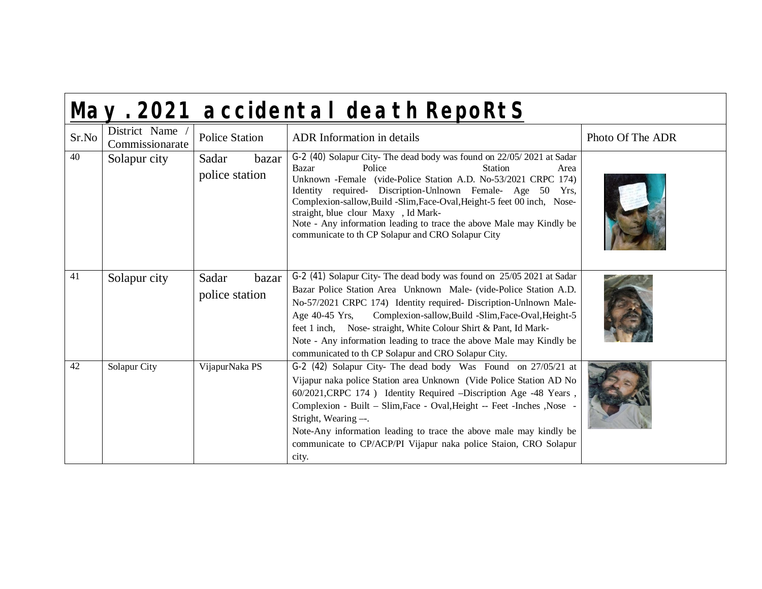|       | May. 2021 accidental death RepoRtS |                                  |                                                                                                                                                                                                                                                                                                                                                                                                                                                                                                   |                  |  |
|-------|------------------------------------|----------------------------------|---------------------------------------------------------------------------------------------------------------------------------------------------------------------------------------------------------------------------------------------------------------------------------------------------------------------------------------------------------------------------------------------------------------------------------------------------------------------------------------------------|------------------|--|
| Sr.No | District Name<br>Commissionarate   | <b>Police Station</b>            | <b>ADR</b> Information in details                                                                                                                                                                                                                                                                                                                                                                                                                                                                 | Photo Of The ADR |  |
| 40    | Solapur city                       | Sadar<br>bazar<br>police station | G-2 (40) Solapur City-The dead body was found on 22/05/2021 at Sadar<br>Bazar<br>Police<br><b>Station</b><br>Area<br>Unknown - Female (vide-Police Station A.D. No-53/2021 CRPC 174)<br>Identity required- Discription-Unlnown Female- Age 50 Yrs,<br>Complexion-sallow, Build -Slim, Face-Oval, Height-5 feet 00 inch, Nose-<br>straight, blue clour Maxy, Id Mark-<br>Note - Any information leading to trace the above Male may Kindly be<br>communicate to th CP Solapur and CRO Solapur City |                  |  |
| 41    | Solapur city                       | Sadar<br>bazar<br>police station | G-2 (41) Solapur City-The dead body was found on 25/05 2021 at Sadar<br>Bazar Police Station Area Unknown Male- (vide-Police Station A.D.<br>No-57/2021 CRPC 174) Identity required- Discription-Unlnown Male-<br>Age 40-45 Yrs,<br>Complexion-sallow, Build -Slim, Face-Oval, Height-5<br>feet 1 inch, Nose- straight, White Colour Shirt & Pant, Id Mark-<br>Note - Any information leading to trace the above Male may Kindly be<br>communicated to th CP Solapur and CRO Solapur City.        |                  |  |
| 42    | Solapur City                       | VijapurNaka PS                   | G-2 (42) Solapur City- The dead body Was Found on 27/05/21 at<br>Vijapur naka police Station area Unknown (Vide Police Station AD No<br>60/2021, CRPC 174 ) Identity Required -Discription Age -48 Years,<br>Complexion - Built - Slim, Face - Oval, Height -- Feet - Inches, Nose<br>Stright, Wearing --.<br>Note-Any information leading to trace the above male may kindly be<br>communicate to CP/ACP/PI Vijapur naka police Staion, CRO Solapur<br>city.                                     |                  |  |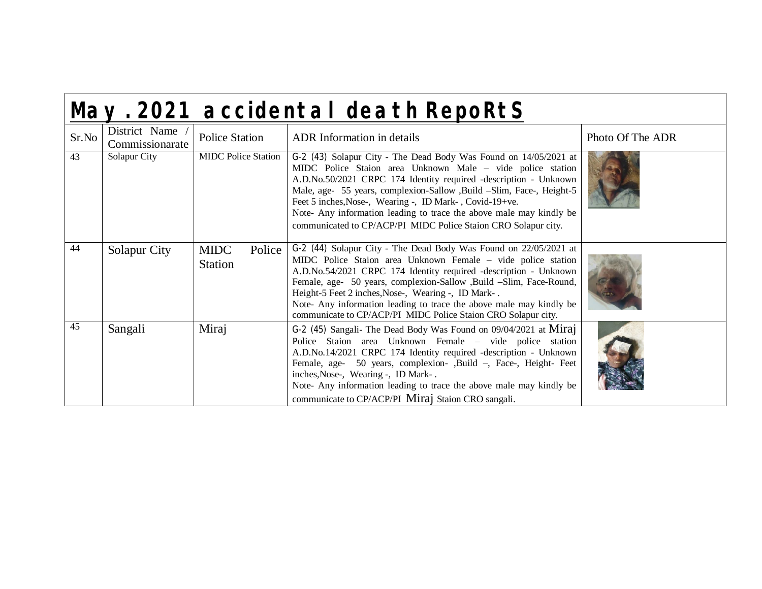|  | May. 2021 accidental death RepoRtS |  |
|--|------------------------------------|--|
|  |                                    |  |

| Sr.No | District Name<br>Commissionarate | Police Station                          | <b>ADR</b> Information in details                                                                                                                                                                                                                                                                                                                                                                                                                                               | Photo Of The ADR |
|-------|----------------------------------|-----------------------------------------|---------------------------------------------------------------------------------------------------------------------------------------------------------------------------------------------------------------------------------------------------------------------------------------------------------------------------------------------------------------------------------------------------------------------------------------------------------------------------------|------------------|
| 43    | Solapur City                     | <b>MIDC</b> Police Station              | G-2 (43) Solapur City - The Dead Body Was Found on 14/05/2021 at<br>MIDC Police Staion area Unknown Male - vide police station<br>A.D.No.50/2021 CRPC 174 Identity required -description - Unknown<br>Male, age- 55 years, complexion-Sallow , Build -Slim, Face-, Height-5<br>Feet 5 inches, Nose-, Wearing -, ID Mark-, Covid-19+ve.<br>Note- Any information leading to trace the above male may kindly be<br>communicated to CP/ACP/PI MIDC Police Staion CRO Solapur city. |                  |
| 44    | Solapur City                     | <b>MIDC</b><br>Police<br><b>Station</b> | G-2 (44) Solapur City - The Dead Body Was Found on 22/05/2021 at<br>MIDC Police Staion area Unknown Female - vide police station<br>A.D.No.54/2021 CRPC 174 Identity required -description - Unknown<br>Female, age- 50 years, complexion-Sallow , Build -Slim, Face-Round,<br>Height-5 Feet 2 inches, Nose-, Wearing -, ID Mark-.<br>Note- Any information leading to trace the above male may kindly be<br>communicate to CP/ACP/PI MIDC Police Staion CRO Solapur city.      |                  |
| 45    | Sangali                          | Miraj                                   | G-2 (45) Sangali- The Dead Body Was Found on 09/04/2021 at Miraj<br>Police Staion area Unknown Female – vide police station<br>A.D.No.14/2021 CRPC 174 Identity required -description - Unknown<br>Female, age- 50 years, complexion-, Build -, Face-, Height-Feet<br>inches, Nose-, Wearing -, ID Mark-.<br>Note- Any information leading to trace the above male may kindly be<br>communicate to CP/ACP/PI Miraj Staion CRO sangali.                                          |                  |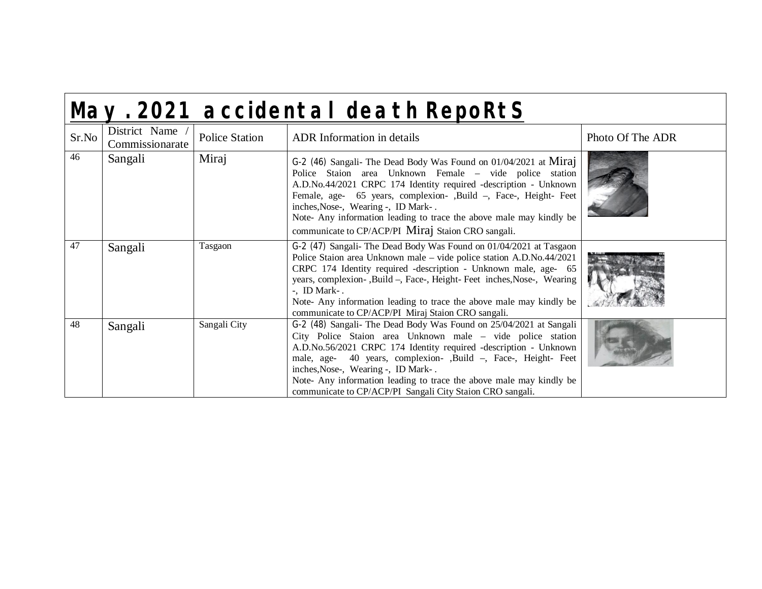|       |                                  |                       | May. 2021 accidental death RepoRtS                                                                                                                                                                                                                                                                                                                                                                                                               |                  |
|-------|----------------------------------|-----------------------|--------------------------------------------------------------------------------------------------------------------------------------------------------------------------------------------------------------------------------------------------------------------------------------------------------------------------------------------------------------------------------------------------------------------------------------------------|------------------|
| Sr.No | District Name<br>Commissionarate | <b>Police Station</b> | <b>ADR</b> Information in details                                                                                                                                                                                                                                                                                                                                                                                                                | Photo Of The ADR |
| 46    | Sangali                          | Miraj                 | G-2 (46) Sangali- The Dead Body Was Found on 01/04/2021 at Miraj<br>Police Staion area Unknown Female – vide police station<br>A.D.No.44/2021 CRPC 174 Identity required -description - Unknown<br>Female, age- 65 years, complexion-, Build -, Face-, Height- Feet<br>inches, Nose-, Wearing -, ID Mark-.<br>Note- Any information leading to trace the above male may kindly be<br>communicate to CP/ACP/PI Miraj Staion CRO sangali.          |                  |
| 47    | Sangali                          | Tasgaon               | G-2 (47) Sangali- The Dead Body Was Found on 01/04/2021 at Tasgaon<br>Police Staion area Unknown male – vide police station A.D.No.44/2021<br>CRPC 174 Identity required -description - Unknown male, age- 65<br>years, complexion-, Build -, Face-, Height-Feet inches, Nose-, Wearing<br>$-L$ , ID Mark $-L$ .<br>Note- Any information leading to trace the above male may kindly be<br>communicate to CP/ACP/PI Miraj Staion CRO sangali.    |                  |
| 48    | Sangali                          | Sangali City          | G-2 (48) Sangali- The Dead Body Was Found on 25/04/2021 at Sangali<br>City Police Staion area Unknown male – vide police station<br>A.D.No.56/2021 CRPC 174 Identity required -description - Unknown<br>male, age- 40 years, complexion-, Build -, Face-, Height-Feet<br>inches, Nose-, Wearing -, ID Mark-.<br>Note- Any information leading to trace the above male may kindly be<br>communicate to CP/ACP/PI Sangali City Staion CRO sangali. |                  |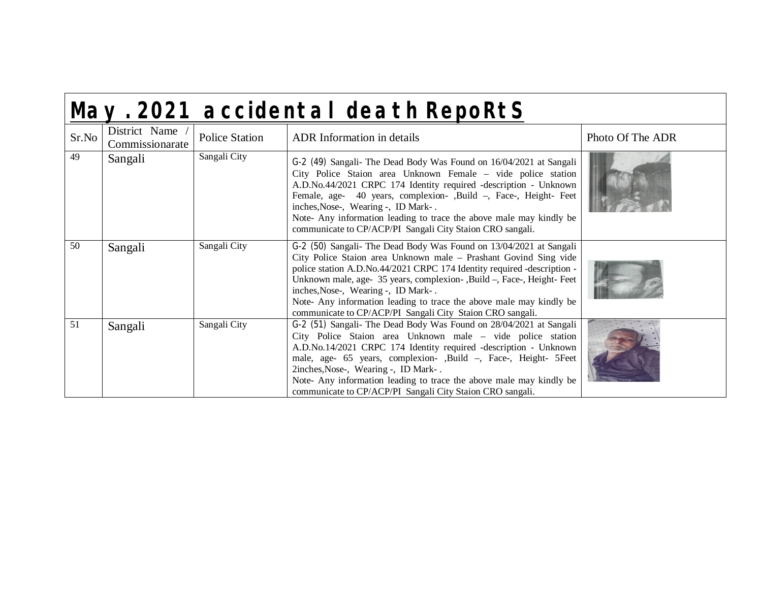| May. 2021 accidental death RepoRtS |  |
|------------------------------------|--|
|                                    |  |

| Sr.No | District Name<br>Commissionarate | Police Station | <b>ADR</b> Information in details                                                                                                                                                                                                                                                                                                                                                                                                                                     | Photo Of The ADR |
|-------|----------------------------------|----------------|-----------------------------------------------------------------------------------------------------------------------------------------------------------------------------------------------------------------------------------------------------------------------------------------------------------------------------------------------------------------------------------------------------------------------------------------------------------------------|------------------|
| 49    | Sangali                          | Sangali City   | G-2 (49) Sangali- The Dead Body Was Found on 16/04/2021 at Sangali<br>City Police Staion area Unknown Female – vide police station<br>A.D.No.44/2021 CRPC 174 Identity required -description - Unknown<br>Female, age- 40 years, complexion-, Build -, Face-, Height-Feet<br>inches, Nose-, Wearing -, ID Mark-.<br>Note- Any information leading to trace the above male may kindly be<br>communicate to CP/ACP/PI Sangali City Staion CRO sangali.                  |                  |
| 50    | Sangali                          | Sangali City   | G-2 (50) Sangali- The Dead Body Was Found on 13/04/2021 at Sangali<br>City Police Staion area Unknown male - Prashant Govind Sing vide<br>police station A.D.No.44/2021 CRPC 174 Identity required -description -<br>Unknown male, age- 35 years, complexion-, Build –, Face-, Height-Feet<br>inches, Nose-, Wearing -, ID Mark-.<br>Note- Any information leading to trace the above male may kindly be<br>communicate to CP/ACP/PI Sangali City Staion CRO sangali. |                  |
| 51    | Sangali                          | Sangali City   | G-2 (51) Sangali- The Dead Body Was Found on 28/04/2021 at Sangali<br>City Police Staion area Unknown male – vide police station<br>A.D.No.14/2021 CRPC 174 Identity required -description - Unknown<br>male, age- 65 years, complexion-, Build -, Face-, Height- 5Feet<br>2inches, Nose-, Wearing -, ID Mark-.<br>Note- Any information leading to trace the above male may kindly be<br>communicate to CP/ACP/PI Sangali City Staion CRO sangali.                   |                  |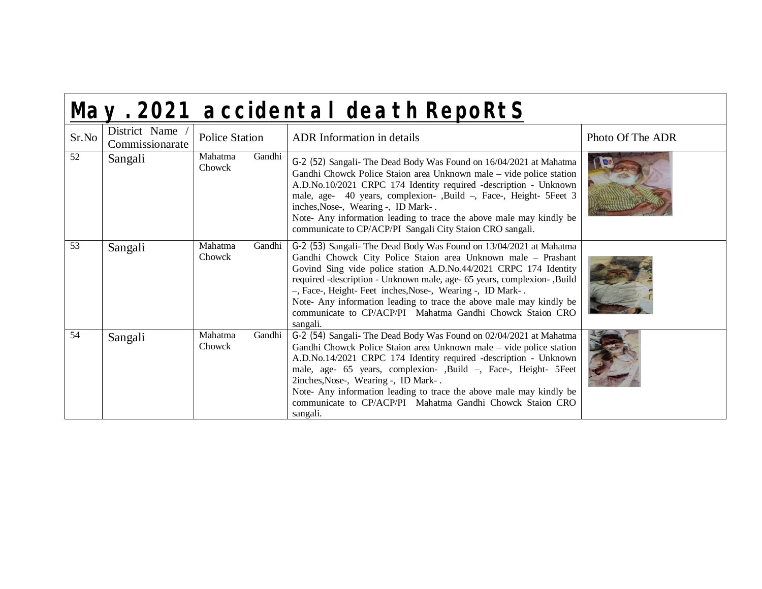|  | May. 2021 accidental death RepoRtS |  |
|--|------------------------------------|--|
|  |                                    |  |

| Sr.No | District Name<br>Commissionarate | <b>Police Station</b>       | <b>ADR</b> Information in details                                                                                                                                                                                                                                                                                                                                                                                                                                                               | Photo Of The ADR |
|-------|----------------------------------|-----------------------------|-------------------------------------------------------------------------------------------------------------------------------------------------------------------------------------------------------------------------------------------------------------------------------------------------------------------------------------------------------------------------------------------------------------------------------------------------------------------------------------------------|------------------|
| 52    | Sangali                          | Mahatma<br>Gandhi<br>Chowck | G-2 (52) Sangali- The Dead Body Was Found on 16/04/2021 at Mahatma<br>Gandhi Chowck Police Staion area Unknown male – vide police station<br>A.D.No.10/2021 CRPC 174 Identity required -description - Unknown<br>male, age- 40 years, complexion-, Build -, Face-, Height- 5Feet 3<br>inches, Nose-, Wearing -, ID Mark-.<br>Note- Any information leading to trace the above male may kindly be<br>communicate to CP/ACP/PI Sangali City Staion CRO sangali.                                   |                  |
| 53    | Sangali                          | Mahatma<br>Gandhi<br>Chowck | G-2 (53) Sangali- The Dead Body Was Found on 13/04/2021 at Mahatma<br>Gandhi Chowck City Police Staion area Unknown male - Prashant<br>Govind Sing vide police station A.D.No.44/2021 CRPC 174 Identity<br>required -description - Unknown male, age- 65 years, complexion-, Build<br>-, Face-, Height-Feet inches, Nose-, Wearing -, ID Mark-.<br>Note- Any information leading to trace the above male may kindly be<br>communicate to CP/ACP/PI Mahatma Gandhi Chowck Staion CRO<br>sangali. |                  |
| 54    | Sangali                          | Mahatma<br>Gandhi<br>Chowck | G-2 (54) Sangali- The Dead Body Was Found on 02/04/2021 at Mahatma<br>Gandhi Chowck Police Staion area Unknown male – vide police station<br>A.D.No.14/2021 CRPC 174 Identity required -description - Unknown<br>male, age- 65 years, complexion-, Build -, Face-, Height- 5Feet<br>2inches, Nose-, Wearing -, ID Mark-.<br>Note- Any information leading to trace the above male may kindly be<br>communicate to CP/ACP/PI Mahatma Gandhi Chowck Staion CRO<br>sangali.                        |                  |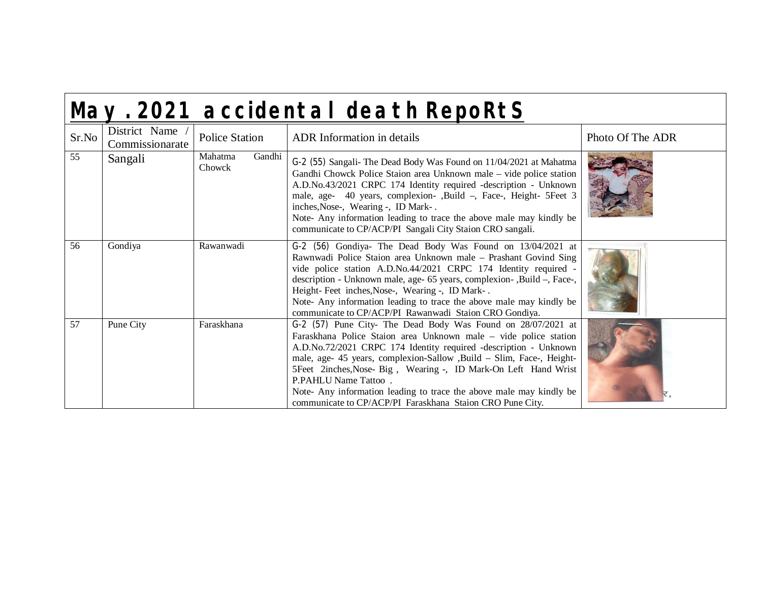|--|

| Sr.No | District Name<br>Commissionarate | <b>Police Station</b>       | <b>ADR</b> Information in details                                                                                                                                                                                                                                                                                                                                                                                                                                                                           | Photo Of The ADR |
|-------|----------------------------------|-----------------------------|-------------------------------------------------------------------------------------------------------------------------------------------------------------------------------------------------------------------------------------------------------------------------------------------------------------------------------------------------------------------------------------------------------------------------------------------------------------------------------------------------------------|------------------|
| 55    | Sangali                          | Mahatma<br>Gandhi<br>Chowck | G-2 (55) Sangali- The Dead Body Was Found on 11/04/2021 at Mahatma<br>Gandhi Chowck Police Staion area Unknown male – vide police station<br>A.D.No.43/2021 CRPC 174 Identity required -description - Unknown<br>male, age- 40 years, complexion-, Build -, Face-, Height- 5Feet 3<br>inches, Nose-, Wearing -, ID Mark-.<br>Note- Any information leading to trace the above male may kindly be<br>communicate to CP/ACP/PI Sangali City Staion CRO sangali.                                               |                  |
| 56    | Gondiya                          | Rawanwadi                   | G-2 (56) Gondiya- The Dead Body Was Found on 13/04/2021 at<br>Rawnwadi Police Staion area Unknown male - Prashant Govind Sing<br>vide police station A.D.No.44/2021 CRPC 174 Identity required -<br>description - Unknown male, age- 65 years, complexion-, Build -, Face-,<br>Height-Feet inches, Nose-, Wearing -, ID Mark-.<br>Note- Any information leading to trace the above male may kindly be<br>communicate to CP/ACP/PI Rawanwadi Staion CRO Gondiya.                                             |                  |
| 57    | Pune City                        | Faraskhana                  | G-2 (57) Pune City- The Dead Body Was Found on 28/07/2021 at<br>Faraskhana Police Staion area Unknown male – vide police station<br>A.D.No.72/2021 CRPC 174 Identity required -description - Unknown<br>male, age- 45 years, complexion-Sallow ,Build - Slim, Face-, Height-<br>5Feet 2inches, Nose- Big, Wearing -, ID Mark-On Left Hand Wrist<br>P.PAHLU Name Tattoo.<br>Note- Any information leading to trace the above male may kindly be<br>communicate to CP/ACP/PI Faraskhana Staion CRO Pune City. |                  |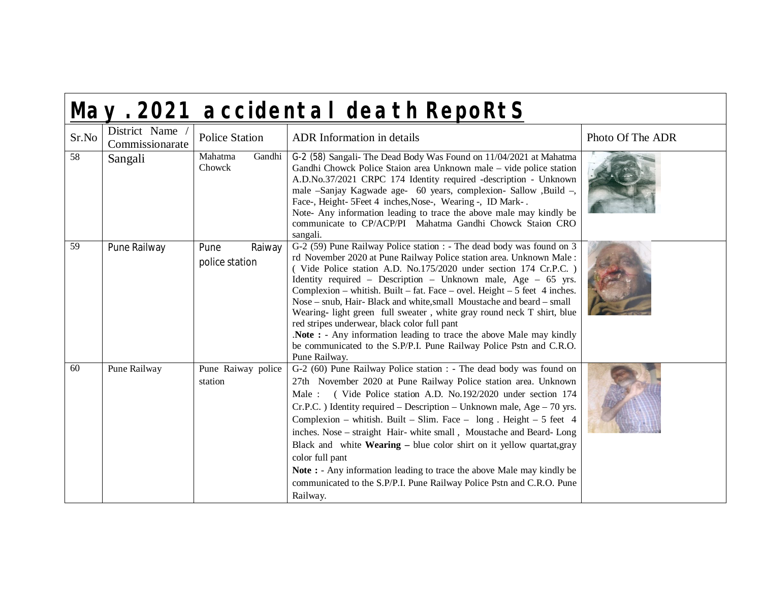|  | May. 2021 accidental death RepoRtS |  |
|--|------------------------------------|--|
|  |                                    |  |

| Sr.No | District Name<br>Commissionarate | <b>Police Station</b>            | <b>ADR</b> Information in details                                                                                                                                                                                                                                                                                                                                                                                                                                                                                                                                                                                                                                                                                                 | Photo Of The ADR |
|-------|----------------------------------|----------------------------------|-----------------------------------------------------------------------------------------------------------------------------------------------------------------------------------------------------------------------------------------------------------------------------------------------------------------------------------------------------------------------------------------------------------------------------------------------------------------------------------------------------------------------------------------------------------------------------------------------------------------------------------------------------------------------------------------------------------------------------------|------------------|
| 58    | Sangali                          | Mahatma<br>Gandhi<br>Chowck      | G-2 (58) Sangali- The Dead Body Was Found on 11/04/2021 at Mahatma<br>Gandhi Chowck Police Staion area Unknown male - vide police station<br>A.D.No.37/2021 CRPC 174 Identity required -description - Unknown<br>male -Sanjay Kagwade age- 60 years, complexion- Sallow , Build -,<br>Face-, Height- 5Feet 4 inches, Nose-, Wearing -, ID Mark-.<br>Note- Any information leading to trace the above male may kindly be<br>communicate to CP/ACP/PI Mahatma Gandhi Chowck Staion CRO<br>sangali.                                                                                                                                                                                                                                  |                  |
| 59    | Pune Railway                     | Pune<br>Raiway<br>police station | G-2 (59) Pune Railway Police station : - The dead body was found on 3<br>rd November 2020 at Pune Railway Police station area. Unknown Male:<br>(Vide Police station A.D. No.175/2020 under section 174 Cr.P.C.)<br>Identity required – Description – Unknown male, Age – $65$ yrs.<br>Complexion – whitish. Built – fat. Face – ovel. Height – 5 feet 4 inches.<br>Nose – snub, Hair- Black and white, small Moustache and beard – small<br>Wearing- light green full sweater, white gray round neck T shirt, blue<br>red stripes underwear, black color full pant<br>Note: - Any information leading to trace the above Male may kindly<br>be communicated to the S.P/P.I. Pune Railway Police Pstn and C.R.O.<br>Pune Railway. |                  |
| 60    | Pune Railway                     | Pune Raiway police<br>station    | G-2 (60) Pune Railway Police station : - The dead body was found on<br>27th November 2020 at Pune Railway Police station area. Unknown<br>Male: (Vide Police station A.D. No.192/2020 under section 174<br>$Cr.P.C.$ ) Identity required – Description – Unknown male, Age – 70 yrs.<br>Complexion – whitish. Built – Slim. Face – $long$ . Height – 5 feet 4<br>inches. Nose - straight Hair- white small, Moustache and Beard-Long<br>Black and white <b>Wearing</b> – blue color shirt on it yellow quartat, gray<br>color full pant<br>Note: - Any information leading to trace the above Male may kindly be<br>communicated to the S.P/P.I. Pune Railway Police Pstn and C.R.O. Pune<br>Railway.                             |                  |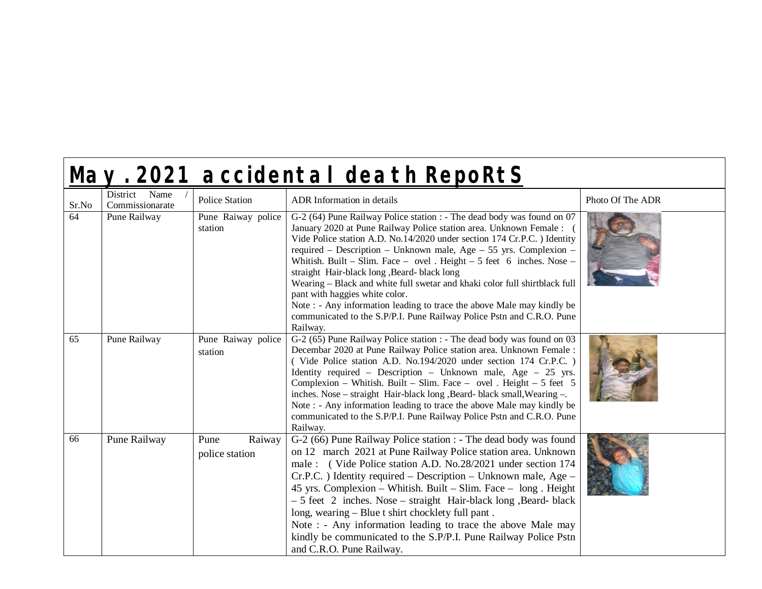| May. 2021 accidental death RepoRtS |                                  |                                  |                                                                                                                                                                                                                                                                                                                                                                                                                                                                                                                                                                                                                                                                                                       |                  |  |
|------------------------------------|----------------------------------|----------------------------------|-------------------------------------------------------------------------------------------------------------------------------------------------------------------------------------------------------------------------------------------------------------------------------------------------------------------------------------------------------------------------------------------------------------------------------------------------------------------------------------------------------------------------------------------------------------------------------------------------------------------------------------------------------------------------------------------------------|------------------|--|
| Sr.No                              | District Name<br>Commissionarate | <b>Police Station</b>            | ADR Information in details                                                                                                                                                                                                                                                                                                                                                                                                                                                                                                                                                                                                                                                                            | Photo Of The ADR |  |
| 64                                 | Pune Railway                     | Pune Raiway police<br>station    | G-2 (64) Pune Railway Police station : - The dead body was found on 07<br>January 2020 at Pune Railway Police station area. Unknown Female :<br>Vide Police station A.D. No.14/2020 under section 174 Cr.P.C. ) Identity<br>required – Description – Unknown male, Age – 55 yrs. Complexion –<br>Whitish. Built – Slim. Face – ovel . Height – 5 feet 6 inches. Nose –<br>straight Hair-black long , Beard- black long<br>Wearing - Black and white full swetar and khaki color full shirtblack full<br>pant with haggies white color.<br>Note : - Any information leading to trace the above Male may kindly be<br>communicated to the S.P/P.I. Pune Railway Police Pstn and C.R.O. Pune<br>Railway. |                  |  |
| 65                                 | Pune Railway                     | Pune Raiway police<br>station    | G-2 (65) Pune Railway Police station : - The dead body was found on 03<br>Decembar 2020 at Pune Railway Police station area. Unknown Female :<br>(Vide Police station A.D. No.194/2020 under section 174 Cr.P.C.)<br>Identity required – Description – Unknown male, Age – $25$ yrs.<br>Complexion – Whitish. Built – Slim. Face – ovel . Height – 5 feet 5<br>inches. Nose – straight Hair-black long , Beard- black small, Wearing –.<br>Note : - Any information leading to trace the above Male may kindly be<br>communicated to the S.P/P.I. Pune Railway Police Pstn and C.R.O. Pune<br>Railway.                                                                                                |                  |  |
| 66                                 | Pune Railway                     | Raiway<br>Pune<br>police station | G-2 (66) Pune Railway Police station : - The dead body was found<br>on 12 march 2021 at Pune Railway Police station area. Unknown<br>male : (Vide Police station A.D. No.28/2021 under section 174<br>Cr.P.C. ) Identity required – Description – Unknown male, Age –<br>45 yrs. Complexion – Whitish. Built – Slim. Face – long. Height<br>- 5 feet 2 inches. Nose - straight Hair-black long, Beard-black<br>long, wearing – Blue t shirt chocklety full pant.<br>Note : - Any information leading to trace the above Male may<br>kindly be communicated to the S.P/P.I. Pune Railway Police Pstn<br>and C.R.O. Pune Railway.                                                                       |                  |  |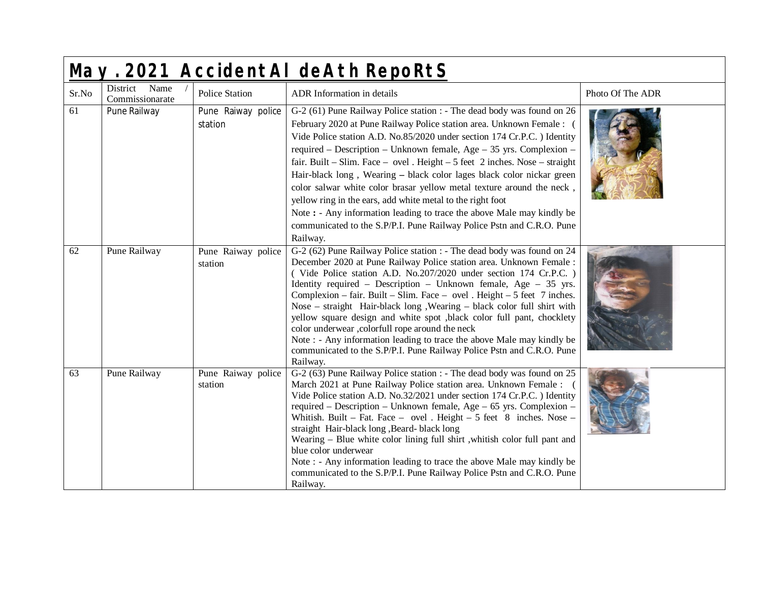| May. 2021 AccidentAI deAth RepoRtS |                                  |                               |                                                                                                                                                                                                                                                                                                                                                                                                                                                                                                                                                                                                                                                                                                                                                                |                  |  |
|------------------------------------|----------------------------------|-------------------------------|----------------------------------------------------------------------------------------------------------------------------------------------------------------------------------------------------------------------------------------------------------------------------------------------------------------------------------------------------------------------------------------------------------------------------------------------------------------------------------------------------------------------------------------------------------------------------------------------------------------------------------------------------------------------------------------------------------------------------------------------------------------|------------------|--|
| Sr.No                              | District Name<br>Commissionarate | Police Station                | ADR Information in details                                                                                                                                                                                                                                                                                                                                                                                                                                                                                                                                                                                                                                                                                                                                     | Photo Of The ADR |  |
| 61                                 | Pune Railway                     | Pune Raiway police<br>station | G-2 (61) Pune Railway Police station : - The dead body was found on 26<br>February 2020 at Pune Railway Police station area. Unknown Female :<br>Vide Police station A.D. No.85/2020 under section 174 Cr.P.C. ) Identity<br>required – Description – Unknown female, Age – 35 yrs. Complexion –<br>fair. Built – Slim. Face – ovel. Height – 5 feet $2$ inches. Nose – straight<br>Hair-black long, Wearing - black color lages black color nickar green<br>color salwar white color brasar yellow metal texture around the neck,<br>yellow ring in the ears, add white metal to the right foot<br>Note: - Any information leading to trace the above Male may kindly be<br>communicated to the S.P/P.I. Pune Railway Police Pstn and C.R.O. Pune<br>Railway. |                  |  |
| 62                                 | Pune Railway                     | Pune Raiway police<br>station | G-2 (62) Pune Railway Police station : - The dead body was found on 24<br>December 2020 at Pune Railway Police station area. Unknown Female :<br>(Vide Police station A.D. No.207/2020 under section 174 Cr.P.C.)<br>Identity required – Description – Unknown female, Age – $35$ yrs.<br>Complexion – fair. Built – Slim. Face – ovel . Height – 5 feet 7 inches.<br>Nose - straight Hair-black long, Wearing - black color full shirt with<br>yellow square design and white spot ,black color full pant, chocklety<br>color underwear ,colorfull rope around the neck<br>Note : - Any information leading to trace the above Male may kindly be<br>communicated to the S.P/P.I. Pune Railway Police Pstn and C.R.O. Pune<br>Railway.                        |                  |  |
| 63                                 | Pune Railway                     | Pune Raiway police<br>station | G-2 (63) Pune Railway Police station : - The dead body was found on 25<br>March 2021 at Pune Railway Police station area. Unknown Female :<br>Vide Police station A.D. No.32/2021 under section 174 Cr.P.C. ) Identity<br>required – Description – Unknown female, Age – 65 yrs. Complexion –<br>Whitish. Built - Fat. Face - ovel . Height $-5$ feet 8 inches. Nose -<br>straight Hair-black long , Beard- black long<br>Wearing - Blue white color lining full shirt , whitish color full pant and<br>blue color underwear<br>Note : - Any information leading to trace the above Male may kindly be<br>communicated to the S.P/P.I. Pune Railway Police Pstn and C.R.O. Pune<br>Railway.                                                                    |                  |  |

 $\mathbf{I}$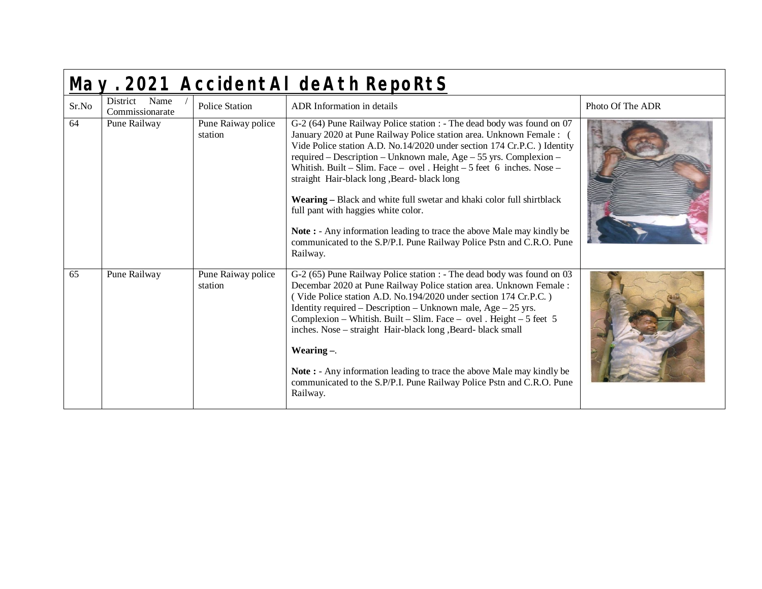| May. 2021 AccidentAI deAth RepoRtS |                                     |                               |                                                                                                                                                                                                                                                                                                                                                                                                                                                                                                                                                                                                                                                                                                       |                  |  |
|------------------------------------|-------------------------------------|-------------------------------|-------------------------------------------------------------------------------------------------------------------------------------------------------------------------------------------------------------------------------------------------------------------------------------------------------------------------------------------------------------------------------------------------------------------------------------------------------------------------------------------------------------------------------------------------------------------------------------------------------------------------------------------------------------------------------------------------------|------------------|--|
| Sr.No                              | Name<br>District<br>Commissionarate | <b>Police Station</b>         | ADR Information in details                                                                                                                                                                                                                                                                                                                                                                                                                                                                                                                                                                                                                                                                            | Photo Of The ADR |  |
| 64                                 | Pune Railway                        | Pune Raiway police<br>station | G-2 (64) Pune Railway Police station : - The dead body was found on 07<br>January 2020 at Pune Railway Police station area. Unknown Female : 0<br>Vide Police station A.D. No.14/2020 under section 174 Cr.P.C. ) Identity<br>required – Description – Unknown male, Age – 55 yrs. Complexion –<br>Whitish. Built – Slim. Face – ovel. Height – 5 feet 6 inches. Nose –<br>straight Hair-black long , Beard- black long<br>Wearing - Black and white full swetar and khaki color full shirtblack<br>full pant with haggies white color.<br>Note: - Any information leading to trace the above Male may kindly be<br>communicated to the S.P/P.I. Pune Railway Police Pstn and C.R.O. Pune<br>Railway. |                  |  |
| 65                                 | Pune Railway                        | Pune Raiway police<br>station | G-2 (65) Pune Railway Police station : - The dead body was found on 03<br>Decembar 2020 at Pune Railway Police station area. Unknown Female :<br>(Vide Police station A.D. No.194/2020 under section 174 Cr.P.C.)<br>Identity required – Description – Unknown male, Age – $25$ yrs.<br>Complexion – Whitish. Built – Slim. Face – ovel. Height – 5 feet 5<br>inches. Nose – straight Hair-black long, Beard-black small<br>Wearing $-$ .<br>Note: - Any information leading to trace the above Male may kindly be<br>communicated to the S.P/P.I. Pune Railway Police Pstn and C.R.O. Pune<br>Railway.                                                                                               |                  |  |